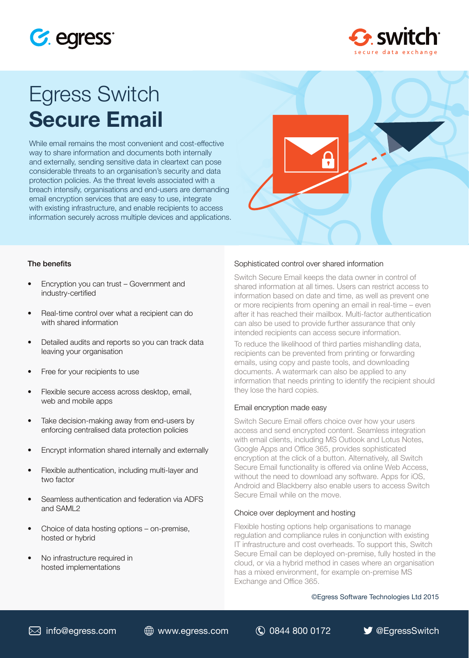



# Egress Switch **Secure Email**

While email remains the most convenient and cost-effective way to share information and documents both internally and externally, sending sensitive data in cleartext can pose considerable threats to an organisation's security and data protection policies. As the threat levels associated with a breach intensify, organisations and end-users are demanding email encryption services that are easy to use, integrate with existing infrastructure, and enable recipients to access information securely across multiple devices and applications.



# The benefits

- Encryption you can trust Government and industry-certified
- Real-time control over what a recipient can do with shared information
- Detailed audits and reports so you can track data leaving your organisation
- Free for your recipients to use
- Flexible secure access across desktop, email, web and mobile apps
- Take decision-making away from end-users by enforcing centralised data protection policies
- Encrypt information shared internally and externally
- Flexible authentication, including multi-layer and two factor
- Seamless authentication and federation via ADFS and SAML2
- Choice of data hosting options on-premise, hosted or hybrid
- No infrastructure required in hosted implementations

# Sophisticated control over shared information

Switch Secure Email keeps the data owner in control of shared information at all times. Users can restrict access to information based on date and time, as well as prevent one or more recipients from opening an email in real-time – even after it has reached their mailbox. Multi-factor authentication can also be used to provide further assurance that only intended recipients can access secure information.

To reduce the likelihood of third parties mishandling data, recipients can be prevented from printing or forwarding emails, using copy and paste tools, and downloading documents. A watermark can also be applied to any information that needs printing to identify the recipient should they lose the hard copies.

## Email encryption made easy

Switch Secure Email offers choice over how your users access and send encrypted content. Seamless integration with email clients, including MS Outlook and Lotus Notes, Google Apps and Office 365, provides sophisticated encryption at the click of a button. Alternatively, all Switch Secure Email functionality is offered via online Web Access, without the need to download any software. Apps for iOS, Android and Blackberry also enable users to access Switch Secure Email while on the move.

# Choice over deployment and hosting

Flexible hosting options help organisations to manage regulation and compliance rules in conjunction with existing IT infrastructure and cost overheads. To support this, Switch Secure Email can be deployed on-premise, fully hosted in the cloud, or via a hybrid method in cases where an organisation has a mixed environment, for example on-premise MS Exchange and Office 365.

## ©Egress Software Technologies Ltd 2015